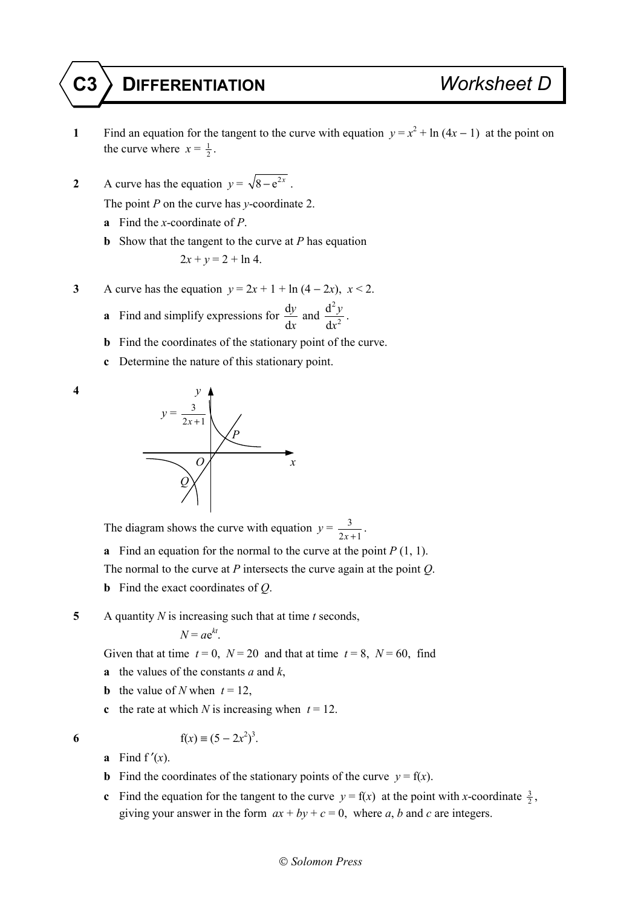## **C3 DIFFERENTIATION** *Worksheet D*

- **1** Find an equation for the tangent to the curve with equation  $y = x^2 + \ln(4x 1)$  at the point on the curve where  $x = \frac{1}{2}$ .
- **2** A curve has the equation  $y = \sqrt{8 e^{2x}}$ .

The point *P* on the curve has *y*-coordinate 2.

- **a** Find the *x*-coordinate of *P*.
- **b** Show that the tangent to the curve at *P* has equation

$$
2x + y = 2 + \ln 4.
$$

- **3** A curve has the equation  $y = 2x + 1 + \ln(4 2x)$ ,  $x < 2$ .
	- **a** Find and simplify expressions for  $\frac{d}{dx}$ d *y x* and 2 2 d d  $\frac{2y}{x^2}$ .
	- **b** Find the coordinates of the stationary point of the curve.
	- **c** Determine the nature of this stationary point.





The diagram shows the curve with equation  $y = \frac{3}{2x+1}$ .

**a** Find an equation for the normal to the curve at the point  $P(1, 1)$ .

The normal to the curve at *P* intersects the curve again at the point *Q*.

**b** Find the exact coordinates of *Q*.

**5** A quantity *N* is increasing such that at time *t* seconds,

$$
N = ae^{kt}.
$$

Given that at time  $t = 0$ ,  $N = 20$  and that at time  $t = 8$ ,  $N = 60$ , find

- **a** the values of the constants *a* and *k*,
- **b** the value of *N* when  $t = 12$ ,
- **c** the rate at which *N* is increasing when  $t = 12$ .

**6**  $f(x) = (5 - 2x^2)^3$ .

- **a** Find  $f'(x)$ .
- **b** Find the coordinates of the stationary points of the curve  $y = f(x)$ .
- **c** Find the equation for the tangent to the curve  $y = f(x)$  at the point with *x*-coordinate  $\frac{3}{2}$ , giving your answer in the form  $ax + by + c = 0$ , where *a*, *b* and *c* are integers.